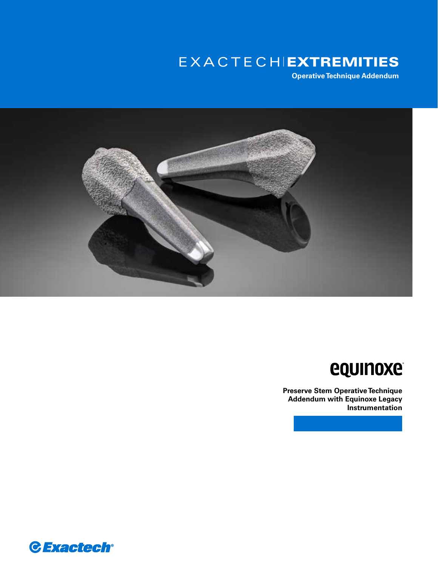# EXACTECHIEXTREMITIES

**Operative Technique Addendum**



# **equinoxe**

**Preserve Stem Operative Technique Addendum with Equinoxe Legacy Instrumentation**

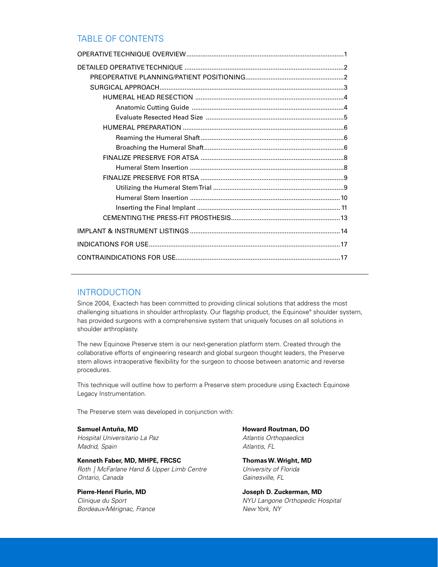## TABLE OF CONTENTS

# INTRODUCTION

Since 2004, Exactech has been committed to providing clinical solutions that address the most challenging situations in shoulder arthroplasty. Our flagship product, the Equinoxe® shoulder system, has provided surgeons with a comprehensive system that uniquely focuses on all solutions in shoulder arthroplasty.

The new Equinoxe Preserve stem is our next-generation platform stem. Created through the collaborative efforts of engineering research and global surgeon thought leaders, the Preserve stem allows intraoperative flexibility for the surgeon to choose between anatomic and reverse procedures.

This technique will outline how to perform a Preserve stem procedure using Exactech Equinoxe Legacy Instrumentation.

The Preserve stem was developed in conjunction with:

**Samuel Antuña, MD** *Hospital Universitario La Paz Madrid, Spain*

**Kenneth Faber, MD, MHPE, FRCSC** *Roth | McFarlane Hand & Upper Limb Centre Ontario, Canada*

**Pierre-Henri Flurin, MD** *Clinique du Sport Bordeaux-Mérignac, France* **Howard Routman, DO** *Atlantis Orthopaedics Atlantis, FL*

**Thomas W. Wright, MD** *University of Florida Gainesville, FL*

**Joseph D. Zuckerman, MD** *NYU Langone Orthopedic Hospital New York, NY*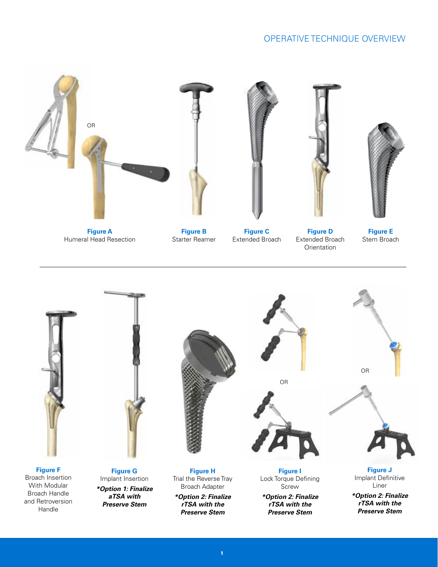# OPERATIVE TECHNIQUE OVERVIEW





**1**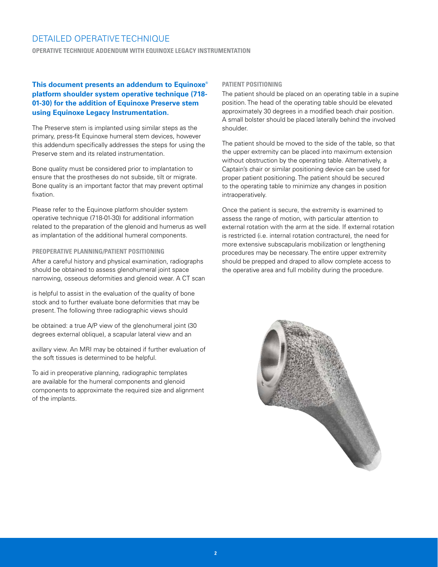**OPERATIVE TECHNIQUE ADDENDUM WITH EQUINOXE LEGACY INSTRUMENTATION**

#### **This document presents an addendum to Equinoxe® platform shoulder system operative technique (718- 01-30) for the addition of Equinoxe Preserve stem using Equinoxe Legacy Instrumentation.**

The Preserve stem is implanted using similar steps as the primary, press-fit Equinoxe humeral stem devices, however this addendum specifically addresses the steps for using the Preserve stem and its related instrumentation.

Bone quality must be considered prior to implantation to ensure that the prostheses do not subside, tilt or migrate. Bone quality is an important factor that may prevent optimal fixation.

Please refer to the Equinoxe platform shoulder system operative technique (718-01-30) for additional information related to the preparation of the glenoid and humerus as well as implantation of the additional humeral components.

#### **PREOPERATIVE PLANNING/PATIENT POSITIONING**

After a careful history and physical examination, radiographs should be obtained to assess glenohumeral joint space narrowing, osseous deformities and glenoid wear. A CT scan

is helpful to assist in the evaluation of the quality of bone stock and to further evaluate bone deformities that may be present. The following three radiographic views should

be obtained: a true A/P view of the glenohumeral joint (30 degrees external oblique), a scapular lateral view and an

axillary view. An MRI may be obtained if further evaluation of the soft tissues is determined to be helpful.

To aid in preoperative planning, radiographic templates are available for the humeral components and glenoid components to approximate the required size and alignment of the implants.

#### **PATIENT POSITIONING**

The patient should be placed on an operating table in a supine position. The head of the operating table should be elevated approximately 30 degrees in a modified beach chair position. A small bolster should be placed laterally behind the involved shoulder.

The patient should be moved to the side of the table, so that the upper extremity can be placed into maximum extension without obstruction by the operating table. Alternatively, a Captain's chair or similar positioning device can be used for proper patient positioning. The patient should be secured to the operating table to minimize any changes in position intraoperatively.

Once the patient is secure, the extremity is examined to assess the range of motion, with particular attention to external rotation with the arm at the side. If external rotation is restricted (i.e. internal rotation contracture), the need for more extensive subscapularis mobilization or lengthening procedures may be necessary. The entire upper extremity should be prepped and draped to allow complete access to the operative area and full mobility during the procedure.

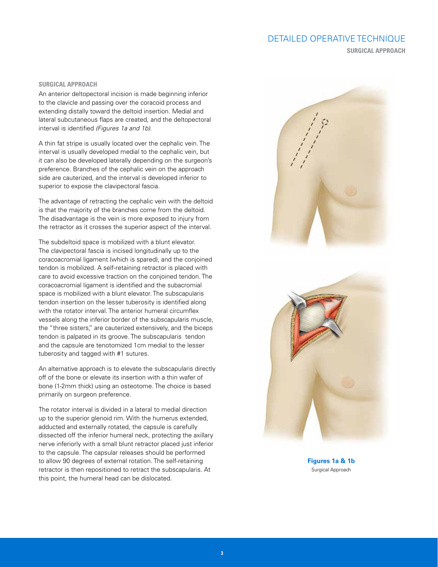**SURGICAL APPROACH**

#### **SURGICAL APPROACH**

An anterior deltopectoral incision is made beginning inferior to the clavicle and passing over the coracoid process and extending distally toward the deltoid insertion. Medial and lateral subcutaneous flaps are created, and the deltopectoral interval is identified *(Figures 1a and 1b)*.

A thin fat stripe is usually located over the cephalic vein. The interval is usually developed medial to the cephalic vein, but it can also be developed laterally depending on the surgeon's preference. Branches of the cephalic vein on the approach side are cauterized, and the interval is developed inferior to superior to expose the clavipectoral fascia.

The advantage of retracting the cephalic vein with the deltoid is that the majority of the branches come from the deltoid. The disadvantage is the vein is more exposed to injury from the retractor as it crosses the superior aspect of the interval.

The subdeltoid space is mobilized with a blunt elevator. The clavipectoral fascia is incised longitudinally up to the coracoacromial ligament (which is spared), and the conjoined tendon is mobilized. A self-retaining retractor is placed with care to avoid excessive traction on the conjoined tendon. The coracoacromial ligament is identified and the subacromial space is mobilized with a blunt elevator. The subscapularis tendon insertion on the lesser tuberosity is identified along with the rotator interval. The anterior humeral circumflex vessels along the inferior border of the subscapularis muscle, the "three sisters," are cauterized extensively, and the biceps tendon is palpated in its groove. The subscapularis tendon and the capsule are tenotomized 1cm medial to the lesser tuberosity and tagged with #1 sutures.

An alternative approach is to elevate the subscapularis directly off of the bone or elevate its insertion with a thin wafer of bone (1-2mm thick) using an osteotome. The choice is based primarily on surgeon preference.

The rotator interval is divided in a lateral to medial direction up to the superior glenoid rim. With the humerus extended, adducted and externally rotated, the capsule is carefully dissected off the inferior humeral neck, protecting the axillary nerve inferiorly with a small blunt retractor placed just inferior to the capsule. The capsular releases should be performed to allow 90 degrees of external rotation. The self-retaining retractor is then repositioned to retract the subscapularis. At this point, the humeral head can be dislocated.



**Figures 1a & 1b** Surgical Approach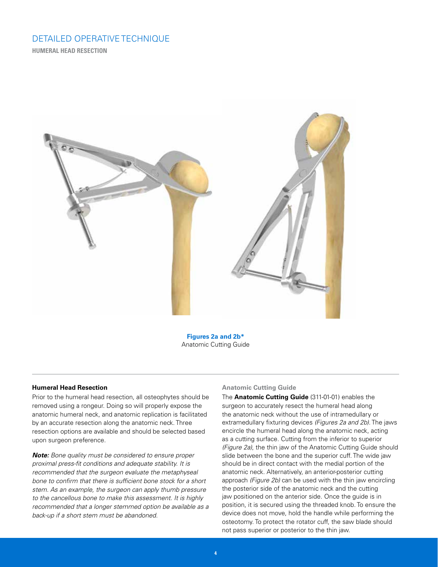**HUMERAL HEAD RESECTION** 



**Figures 2a and 2b\*** Anatomic Cutting Guide

#### **Humeral Head Resection**

Prior to the humeral head resection, all osteophytes should be removed using a rongeur. Doing so will properly expose the anatomic humeral neck, and anatomic replication is facilitated by an accurate resection along the anatomic neck. Three resection options are available and should be selected based upon surgeon preference.

*Note: Bone quality must be considered to ensure proper proximal press-fit conditions and adequate stability. It is recommended that the surgeon evaluate the metaphyseal bone to confirm that there is sufficient bone stock for a short stem. As an example, the surgeon can apply thumb pressure to the cancellous bone to make this assessment. It is highly recommended that a longer stemmed option be available as a back-up if a short stem must be abandoned.* 

#### **Anatomic Cutting Guide**

The **Anatomic Cutting Guide** (311-01-01) enables the surgeon to accurately resect the humeral head along the anatomic neck without the use of intramedullary or extramedullary fixturing devices *(Figures 2a and 2b)*. The jaws encircle the humeral head along the anatomic neck, acting as a cutting surface. Cutting from the inferior to superior *(Figure 2a)*, the thin jaw of the Anatomic Cutting Guide should slide between the bone and the superior cuff. The wide jaw should be in direct contact with the medial portion of the anatomic neck. Alternatively, an anterior-posterior cutting approach *(Figure 2b)* can be used with the thin jaw encircling the posterior side of the anatomic neck and the cutting jaw positioned on the anterior side. Once the guide is in position, it is secured using the threaded knob. To ensure the device does not move, hold the handle while performing the osteotomy. To protect the rotator cuff, the saw blade should not pass superior or posterior to the thin jaw.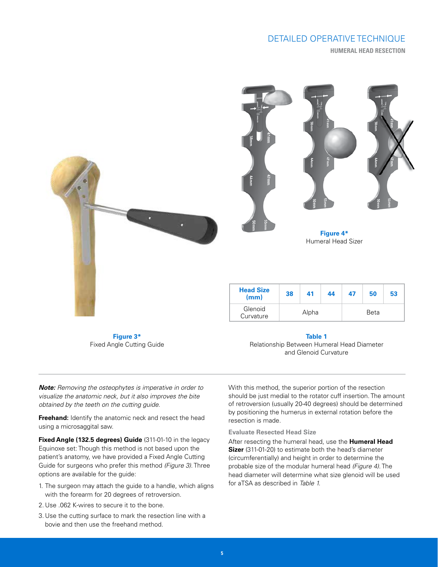**HUMERAL HEAD RESECTION**



**Figure 3\*** Fixed Angle Cutting Guide

**Table 1**

Relationship Between Humeral Head Diameter and Glenoid Curvature

*Note: Removing the osteophytes is imperative in order to visualize the anatomic neck, but it also improves the bite obtained by the teeth on the cutting guide.* 

**Freehand:** Identify the anatomic neck and resect the head using a microsaggital saw.

**Fixed Angle (132.5 degrees) Guide** (311-01-10 in the legacy Equinoxe set: Though this method is not based upon the patient's anatomy, we have provided a Fixed Angle Cutting Guide for surgeons who prefer this method *(Figure 3)*. Three options are available for the guide:

- 1. The surgeon may attach the guide to a handle, which aligns with the forearm for 20 degrees of retroversion.
- 2. Use .062 K-wires to secure it to the bone.
- 3. Use the cutting surface to mark the resection line with a bovie and then use the freehand method.

should be just medial to the rotator cuff insertion. The amount of retroversion (usually 20-40 degrees) should be determined by positioning the humerus in external rotation before the resection is made.

With this method, the superior portion of the resection

#### **Evaluate Resected Head Size**

After resecting the humeral head, use the **Humeral Head Sizer** (311-01-20) to estimate both the head's diameter (circumferentially) and height in order to determine the probable size of the modular humeral head *(Figure 4)*. The head diameter will determine what size glenoid will be used for aTSA as described in *Table 1.*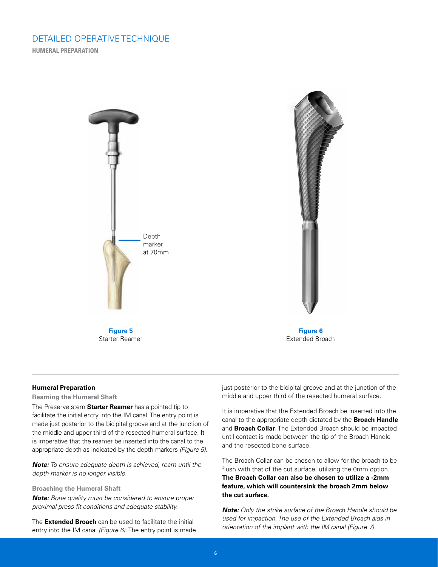**HUMERAL PREPARATION**



#### **Humeral Preparation**

#### **Reaming the Humeral Shaft**

The Preserve stem **Starter Reamer** has a pointed tip to facilitate the initial entry into the IM canal. The entry point is made just posterior to the bicipital groove and at the junction of the middle and upper third of the resected humeral surface. It is imperative that the reamer be inserted into the canal to the appropriate depth as indicated by the depth markers *(Figure 5)*.

*Note: To ensure adequate depth is achieved, ream until the depth marker is no longer visible.*

**Broaching the Humeral Shaft**

*Note: Bone quality must be considered to ensure proper proximal press-fit conditions and adequate stability.*

The **Extended Broach** can be used to facilitate the initial entry into the IM canal *(Figure 6)*. The entry point is made just posterior to the bicipital groove and at the junction of the middle and upper third of the resected humeral surface.

It is imperative that the Extended Broach be inserted into the canal to the appropriate depth dictated by the **Broach Handle** and **Broach Collar**. The Extended Broach should be impacted until contact is made between the tip of the Broach Handle and the resected bone surface.

The Broach Collar can be chosen to allow for the broach to be flush with that of the cut surface, utilizing the 0mm option. **The Broach Collar can also be chosen to utilize a -2mm feature, which will countersink the broach 2mm below the cut surface.** 

*Note: Only the strike surface of the Broach Handle should be used for impaction. The use of the Extended Broach aids in orientation of the implant with the IM canal (Figure 7).*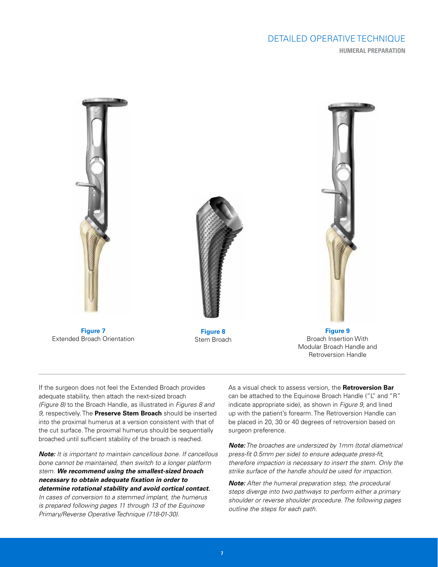# DETAILED OPERATIVE TECHNIQUE **HUMERAL PREPARATION**



Extended Broach Orientation

**Figure 8** Stem Broach

**Figure 9** Broach Insertion With Modular Broach Handle and Retroversion Handle

If the surgeon does not feel the Extended Broach provides adequate stability, then attach the next-sized broach *(Figure 8)* to the Broach Handle, as illustrated in *Figures 8 and 9,* respectively. The **Preserve Stem Broach** should be inserted into the proximal humerus at a version consistent with that of the cut surface. The proximal humerus should be sequentially broached until sufficient stability of the broach is reached.

*Note: It is important to maintain cancellous bone. If cancellous bone cannot be maintained, then switch to a longer platform stem. We recommend using the smallest-sized broach necessary to obtain adequate fixation in order to determine rotational stability and avoid cortical contact. In cases of conversion to a stemmed implant, the humerus* 

*is prepared following pages 11 through 13 of the Equinoxe Primary/Reverse Operative Technique (718-01-30).*

As a visual check to assess version, the **Retroversion Bar** can be attached to the Equinoxe Broach Handle ("L" and "R" indicate appropriate side), as shown in *Figure 9,* and lined up with the patient's forearm. The Retroversion Handle can be placed in 20, 30 or 40 degrees of retroversion based on surgeon preference.

*Note: The broaches are undersized by 1mm (total diametrical press-fit 0.5mm per side) to ensure adequate press-fit, therefore impaction is necessary to insert the stem. Only the strike surface of the handle should be used for impaction.*

*Note: After the humeral preparation step, the procedural steps diverge into two pathways to perform either a primary shoulder or reverse shoulder procedure. The following pages outline the steps for each path.*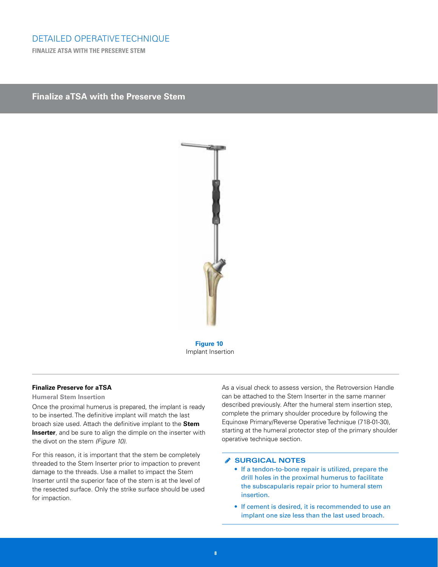**FINALIZE ATSA WITH THE PRESERVE STEM**

## **Finalize aTSA with the Preserve Stem**



**Figure 10** Implant Insertion

#### **Finalize Preserve for aTSA**

#### **Humeral Stem Insertion**

Once the proximal humerus is prepared, the implant is ready to be inserted. The definitive implant will match the last broach size used. Attach the definitive implant to the **Stem Inserter**, and be sure to align the dimple on the inserter with the divot on the stem *(Figure 10)*.

For this reason, it is important that the stem be completely threaded to the Stem Inserter prior to impaction to prevent damage to the threads. Use a mallet to impact the Stem Inserter until the superior face of the stem is at the level of the resected surface. Only the strike surface should be used for impaction.

As a visual check to assess version, the Retroversion Handle can be attached to the Stem Inserter in the same manner described previously. After the humeral stem insertion step, complete the primary shoulder procedure by following the Equinoxe Primary/Reverse Operative Technique (718-01-30), starting at the humeral protector step of the primary shoulder operative technique section.

#### **SURGICAL NOTES**

- If a tendon-to-bone repair is utilized, prepare the drill holes in the proximal humerus to facilitate the subscapularis repair prior to humeral stem insertion.
- If cement is desired, it is recommended to use an implant one size less than the last used broach.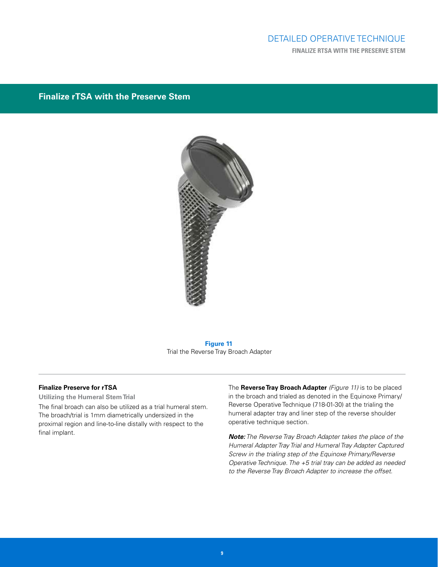# DETAILED OPERATIVE TECHNIQUE **FINALIZE RTSA WITH THE PRESERVE STEM**

# **Finalize rTSA with the Preserve Stem**



**Figure 11** Trial the Reverse Tray Broach Adapter

#### **Finalize Preserve for rTSA**

**Utilizing the Humeral Stem Trial**

The final broach can also be utilized as a trial humeral stem. The broach/trial is 1mm diametrically undersized in the proximal region and line-to-line distally with respect to the final implant.

The **Reverse Tray Broach Adapter** *(Figure 11)* is to be placed in the broach and trialed as denoted in the Equinoxe Primary/ Reverse Operative Technique (718-01-30) at the trialing the humeral adapter tray and liner step of the reverse shoulder operative technique section.

*Note: The Reverse Tray Broach Adapter takes the place of the Humeral Adapter Tray Trial and Humeral Tray Adapter Captured Screw in the trialing step of the Equinoxe Primary/Reverse Operative Technique. The +5 trial tray can be added as needed to the Reverse Tray Broach Adapter to increase the offset.*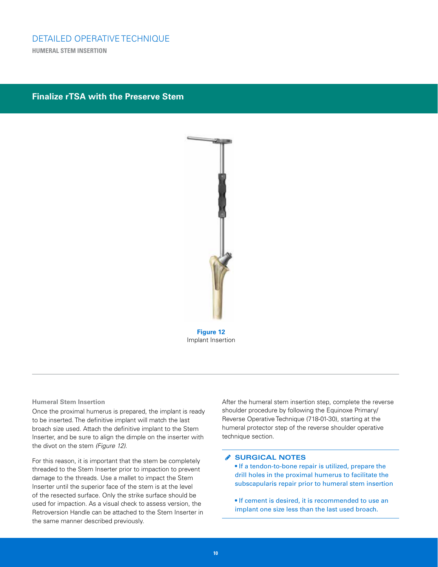**HUMERAL STEM INSERTION** 

# **Finalize rTSA with the Preserve Stem**



#### **Humeral Stem Insertion**

Once the proximal humerus is prepared, the implant is ready to be inserted. The definitive implant will match the last broach size used. Attach the definitive implant to the Stem Inserter, and be sure to align the dimple on the inserter with the divot on the stem *(Figure 12)*.

For this reason, it is important that the stem be completely threaded to the Stem Inserter prior to impaction to prevent damage to the threads. Use a mallet to impact the Stem Inserter until the superior face of the stem is at the level of the resected surface. Only the strike surface should be used for impaction. As a visual check to assess version, the Retroversion Handle can be attached to the Stem Inserter in the same manner described previously.

After the humeral stem insertion step, complete the reverse shoulder procedure by following the Equinoxe Primary/ Reverse Operative Technique (718-01-30), starting at the humeral protector step of the reverse shoulder operative technique section.

#### **SURGICAL NOTES**

• If a tendon-to-bone repair is utilized, prepare the drill holes in the proximal humerus to facilitate the subscapularis repair prior to humeral stem insertion

• If cement is desired, it is recommended to use an implant one size less than the last used broach.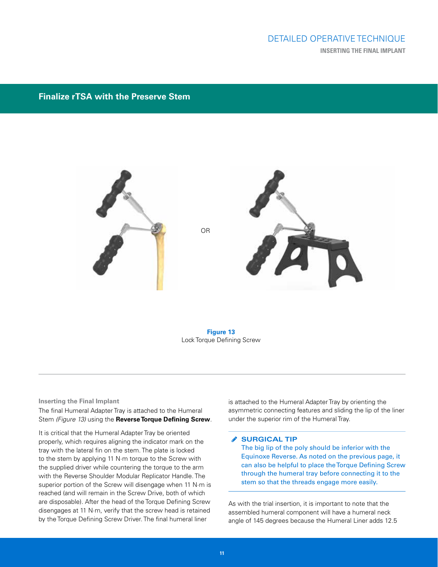# DETAILED OPERATIVE TECHNIQUE **INSERTING THE FINAL IMPLANT**

# **Finalize rTSA with the Preserve Stem**



**Figure 13** Lock Torque Defining Screw

#### **Inserting the Final Implant**

The final Humeral Adapter Tray is attached to the Humeral Stem *(Figure 13)* using the **Reverse Torque Defining Screw**.

It is critical that the Humeral Adapter Tray be oriented properly, which requires aligning the indicator mark on the tray with the lateral fin on the stem. The plate is locked to the stem by applying 11 N·m torque to the Screw with the supplied driver while countering the torque to the arm with the Reverse Shoulder Modular Replicator Handle. The superior portion of the Screw will disengage when 11 N·m is reached (and will remain in the Screw Drive, both of which are disposable). After the head of the Torque Defining Screw disengages at 11 N·m, verify that the screw head is retained by the Torque Defining Screw Driver. The final humeral liner

is attached to the Humeral Adapter Tray by orienting the asymmetric connecting features and sliding the lip of the liner under the superior rim of the Humeral Tray.

#### **SURGICAL TIP**

The big lip of the poly should be inferior with the Equinoxe Reverse. As noted on the previous page, it can also be helpful to place the Torque Defining Screw through the humeral tray before connecting it to the stem so that the threads engage more easily.

As with the trial insertion, it is important to note that the assembled humeral component will have a humeral neck angle of 145 degrees because the Humeral Liner adds 12.5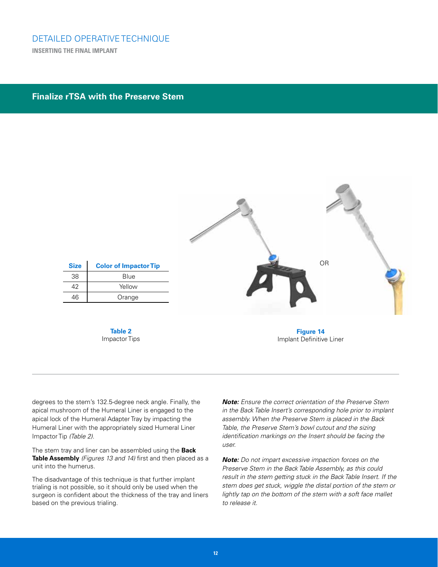## **Finalize rTSA with the Preserve Stem**



degrees to the stem's 132.5-degree neck angle. Finally, the apical mushroom of the Humeral Liner is engaged to the apical lock of the Humeral Adapter Tray by impacting the Humeral Liner with the appropriately sized Humeral Liner Impactor Tip *(Table 2)*.

The stem tray and liner can be assembled using the **Back Table Assembly** *(Figures 13 and 14)* first and then placed as a unit into the humerus.

The disadvantage of this technique is that further implant trialing is not possible, so it should only be used when the surgeon is confident about the thickness of the tray and liners based on the previous trialing.

*Note: Ensure the correct orientation of the Preserve Stem in the Back Table Insert's corresponding hole prior to implant assembly. When the Preserve Stem is placed in the Back Table, the Preserve Stem's bowl cutout and the sizing identification markings on the Insert should be facing the user.*

*Note: Do not impart excessive impaction forces on the Preserve Stem in the Back Table Assembly, as this could result in the stem getting stuck in the Back Table Insert. If the stem does get stuck, wiggle the distal portion of the stem or lightly tap on the bottom of the stem with a soft face mallet to release it.*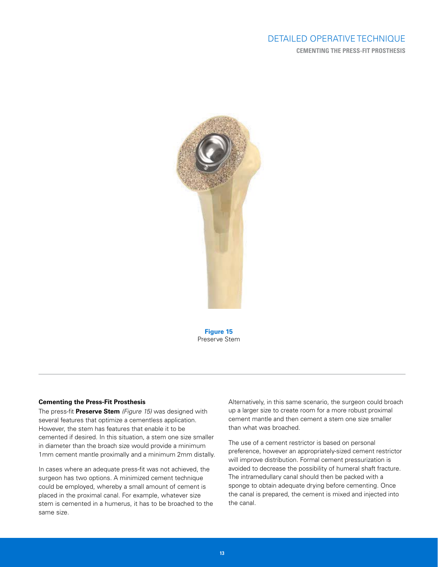# DETAILED OPERATIVE TECHNIQUE **CEMENTING THE PRESS-FIT PROSTHESIS**



**Figure 15** Preserve Stem

#### **Cementing the Press-Fit Prosthesis**

The press-fit **Preserve Stem** *(Figure 15)* was designed with several features that optimize a cementless application. However, the stem has features that enable it to be cemented if desired. In this situation, a stem one size smaller in diameter than the broach size would provide a minimum 1mm cement mantle proximally and a minimum 2mm distally.

In cases where an adequate press-fit was not achieved, the surgeon has two options. A minimized cement technique could be employed, whereby a small amount of cement is placed in the proximal canal. For example, whatever size stem is cemented in a humerus, it has to be broached to the same size.

Alternatively, in this same scenario, the surgeon could broach up a larger size to create room for a more robust proximal cement mantle and then cement a stem one size smaller than what was broached.

The use of a cement restrictor is based on personal preference, however an appropriately-sized cement restrictor will improve distribution. Formal cement pressurization is avoided to decrease the possibility of humeral shaft fracture. The intramedullary canal should then be packed with a sponge to obtain adequate drying before cementing. Once the canal is prepared, the cement is mixed and injected into the canal.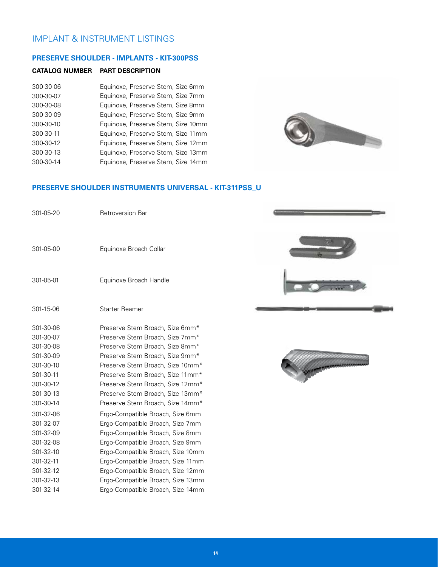# IMPLANT & INSTRUMENT LISTINGS

#### **PRESERVE SHOULDER - IMPLANTS - KIT-300PSS**

#### **CATALOG NUMBER PART DESCRIPTION**

| 300-30-06 | Equinoxe, Preserve Stem, Size 6mm  |
|-----------|------------------------------------|
| 300-30-07 | Equinoxe, Preserve Stem, Size 7mm  |
| 300-30-08 | Equinoxe, Preserve Stem, Size 8mm  |
| 300-30-09 | Equinoxe, Preserve Stem, Size 9mm  |
| 300-30-10 | Equinoxe, Preserve Stem, Size 10mm |
| 300-30-11 | Equinoxe, Preserve Stem, Size 11mm |
| 300-30-12 | Equinoxe, Preserve Stem, Size 12mm |
| 300-30-13 | Equinoxe, Preserve Stem, Size 13mm |
| 300-30-14 | Equinoxe, Preserve Stem, Size 14mm |



## **PRESERVE SHOULDER INSTRUMENTS UNIVERSAL - KIT-311PSS\_U**

| 301-05-20 | <b>Retroversion Bar</b>           |  |
|-----------|-----------------------------------|--|
| 301-05-00 | Equinoxe Broach Collar            |  |
| 301-05-01 | Equinoxe Broach Handle            |  |
| 301-15-06 | <b>Starter Reamer</b>             |  |
| 301-30-06 | Preserve Stem Broach, Size 6mm*   |  |
| 301-30-07 | Preserve Stem Broach, Size 7mm*   |  |
| 301-30-08 | Preserve Stem Broach, Size 8mm*   |  |
| 301-30-09 | Preserve Stem Broach, Size 9mm*   |  |
| 301-30-10 | Preserve Stem Broach, Size 10mm*  |  |
| 301-30-11 | Preserve Stem Broach, Size 11mm*  |  |
| 301-30-12 | Preserve Stem Broach, Size 12mm*  |  |
| 301-30-13 | Preserve Stem Broach, Size 13mm*  |  |
| 301-30-14 | Preserve Stem Broach, Size 14mm*  |  |
| 301-32-06 | Ergo-Compatible Broach, Size 6mm  |  |
| 301-32-07 | Ergo-Compatible Broach, Size 7mm  |  |
| 301-32-09 | Ergo-Compatible Broach, Size 8mm  |  |
| 301-32-08 | Ergo-Compatible Broach, Size 9mm  |  |
| 301-32-10 | Ergo-Compatible Broach, Size 10mm |  |
| 301-32-11 | Ergo-Compatible Broach, Size 11mm |  |
| 301-32-12 | Ergo-Compatible Broach, Size 12mm |  |
| 301-32-13 | Ergo-Compatible Broach, Size 13mm |  |
| 301-32-14 | Ergo-Compatible Broach, Size 14mm |  |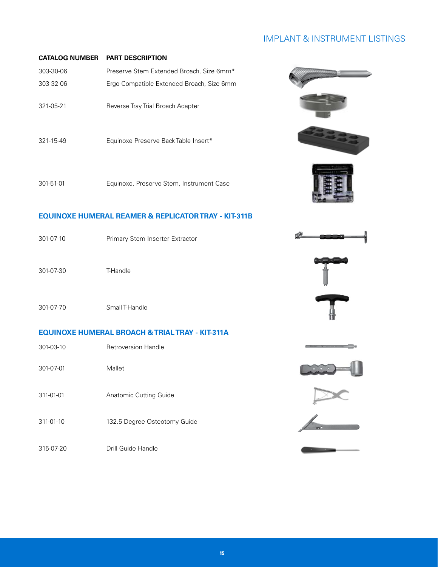# IMPLANT & INSTRUMENT LISTINGS

**Chemica CE** was not reserved.

#### **CATALOG NUMBER PART DESCRIPTION**

| 303-30-06       | Preserve Stem Extended Broach, Size 6mm*  |
|-----------------|-------------------------------------------|
| 303-32-06       | Ergo-Compatible Extended Broach, Size 6mm |
|                 |                                           |
| 321-05-21       | Reverse Tray Trial Broach Adapter         |
|                 |                                           |
| $321 - 15 - 49$ | Equinoxe Preserve Back Table Insert*      |
|                 |                                           |
|                 |                                           |



## **EQUINOXE HUMERAL REAMER & REPLICATOR TRAY - KIT-311B**

| 301-07-10 | Primary Stem Inserter Extractor |  |
|-----------|---------------------------------|--|
| 301-07-30 | T-Handle                        |  |
| 301-07-70 | Small T-Handle                  |  |

## **EQUINOXE HUMERAL BROACH & TRIAL TRAY - KIT-311A**

| 301-03-10 | <b>Retroversion Handle</b>   |   |
|-----------|------------------------------|---|
| 301-07-01 | Mallet                       |   |
| 311-01-01 | Anatomic Cutting Guide       |   |
| 311-01-10 | 132.5 Degree Osteotomy Guide | ٨ |
| 315-07-20 | Drill Guide Handle           |   |

**15**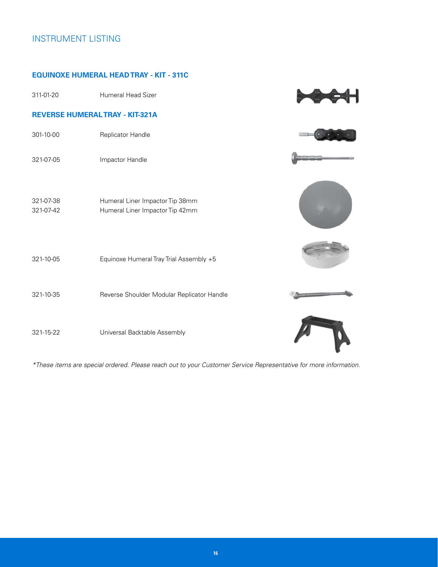# INSTRUMENT LISTING

## **EQUINOXE HUMERAL HEAD TRAY - KIT - 311C**

| 311-01-20                             | Humeral Head Sizer                                                 |  |  |
|---------------------------------------|--------------------------------------------------------------------|--|--|
| <b>REVERSE HUMERALTRAY - KIT-321A</b> |                                                                    |  |  |
| 301-10-00                             | Replicator Handle                                                  |  |  |
| 321-07-05                             | Impactor Handle                                                    |  |  |
| 321-07-38<br>321-07-42                | Humeral Liner Impactor Tip 38mm<br>Humeral Liner Impactor Tip 42mm |  |  |
| 321-10-05                             | Equinoxe Humeral Tray Trial Assembly +5                            |  |  |
| 321-10-35                             | Reverse Shoulder Modular Replicator Handle                         |  |  |
| 321-15-22                             | Universal Backtable Assembly                                       |  |  |

*\*These items are special ordered. Please reach out to your Customer Service Representative for more information.*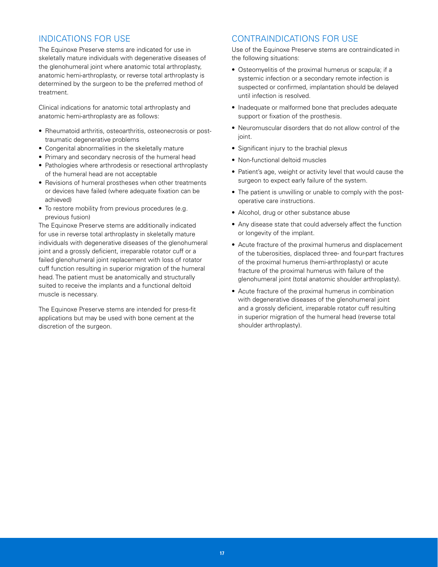# INDICATIONS FOR USE

The Equinoxe Preserve stems are indicated for use in skeletally mature individuals with degenerative diseases of the glenohumeral joint where anatomic total arthroplasty, anatomic hemi-arthroplasty, or reverse total arthroplasty is determined by the surgeon to be the preferred method of treatment.

Clinical indications for anatomic total arthroplasty and anatomic hemi-arthroplasty are as follows:

- Rheumatoid arthritis, osteoarthritis, osteonecrosis or posttraumatic degenerative problems
- Congenital abnormalities in the skeletally mature
- Primary and secondary necrosis of the humeral head
- Pathologies where arthrodesis or resectional arthroplasty of the humeral head are not acceptable
- Revisions of humeral prostheses when other treatments or devices have failed (where adequate fixation can be achieved)
- To restore mobility from previous procedures (e.g. previous fusion)

The Equinoxe Preserve stems are additionally indicated for use in reverse total arthroplasty in skeletally mature individuals with degenerative diseases of the glenohumeral joint and a grossly deficient, irreparable rotator cuff or a failed glenohumeral joint replacement with loss of rotator cuff function resulting in superior migration of the humeral head. The patient must be anatomically and structurally suited to receive the implants and a functional deltoid muscle is necessary.

The Equinoxe Preserve stems are intended for press-fit applications but may be used with bone cement at the discretion of the surgeon.

## CONTRAINDICATIONS FOR USE

Use of the Equinoxe Preserve stems are contraindicated in the following situations:

- Osteomyelitis of the proximal humerus or scapula; if a systemic infection or a secondary remote infection is suspected or confirmed, implantation should be delayed until infection is resolved.
- Inadequate or malformed bone that precludes adequate support or fixation of the prosthesis.
- Neuromuscular disorders that do not allow control of the joint.
- Significant injury to the brachial plexus
- Non-functional deltoid muscles
- Patient's age, weight or activity level that would cause the surgeon to expect early failure of the system.
- The patient is unwilling or unable to comply with the postoperative care instructions.
- Alcohol, drug or other substance abuse
- Any disease state that could adversely affect the function or longevity of the implant.
- Acute fracture of the proximal humerus and displacement of the tuberosities, displaced three- and four-part fractures of the proximal humerus (hemi-arthroplasty) or acute fracture of the proximal humerus with failure of the glenohumeral joint (total anatomic shoulder arthroplasty).
- Acute fracture of the proximal humerus in combination with degenerative diseases of the glenohumeral joint and a grossly deficient, irreparable rotator cuff resulting in superior migration of the humeral head (reverse total shoulder arthroplasty).